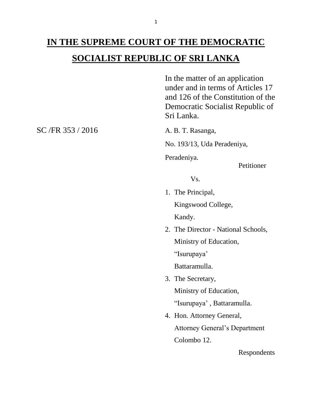## **IN THE SUPREME COURT OF THE DEMOCRATIC SOCIALIST REPUBLIC OF SRI LANKA**

In the matter of an application under and in terms of Articles 17 and 126 of the Constitution of the Democratic Socialist Republic of Sri Lanka.

No. 193/13, Uda Peradeniya,

Peradeniya.

Petitioner

Vs.

1. The Principal,

Kingswood College,

Kandy.

2. The Director - National Schools, Ministry of Education, "Isurupaya'

Battaramulla.

- 3. The Secretary, Ministry of Education, "Isurupaya' , Battaramulla.
- 4. Hon. Attorney General, Attorney General's Department Colombo 12.

Respondents

SC /FR 353 / 2016 A. B. T. Rasanga,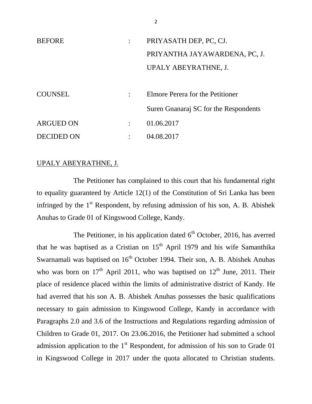| <b>BEFORE</b>     |                      | PRIYASATH DEP, PC, CJ.                |
|-------------------|----------------------|---------------------------------------|
|                   |                      | PRIYANTHA JAYAWARDENA, PC, J.         |
|                   |                      | UPALY ABEYRATHNE, J.                  |
|                   |                      |                                       |
| <b>COUNSEL</b>    |                      | Elmore Perera for the Petitioner      |
|                   |                      | Suren Gnanaraj SC for the Respondents |
| <b>ARGUED ON</b>  | $\ddot{\phantom{a}}$ | 01.06.2017                            |
| <b>DECIDED ON</b> |                      | 04.08.2017                            |

## UPALY ABEYRATHNE, J.

The Petitioner has complained to this court that his fundamental right to equality guaranteed by Article 12(1) of the Constitution of Sri Lanka has been infringed by the  $1<sup>st</sup>$  Respondent, by refusing admission of his son, A. B. Abishek Anuhas to Grade 01 of Kingswood College, Kandy.

The Petitioner, in his application dated  $6<sup>th</sup>$  October, 2016, has averred that he was baptised as a Cristian on  $15<sup>th</sup>$  April 1979 and his wife Samanthika Swarnamali was baptised on  $16<sup>th</sup>$  October 1994. Their son, A. B. Abishek Anuhas who was born on  $17<sup>th</sup>$  April 2011, who was baptised on  $12<sup>th</sup>$  June, 2011. Their place of residence placed within the limits of administrative district of Kandy. He had averred that his son A. B. Abishek Anuhas possesses the basic qualifications necessary to gain admission to Kingswood College, Kandy in accordance with Paragraphs 2.0 and 3.6 of the Instructions and Regulations regarding admission of Children to Grade 01, 2017. On 23.06.2016, the Petitioner had submitted a school admission application to the  $1<sup>st</sup>$  Respondent, for admission of his son to Grade 01 in Kingswood College in 2017 under the quota allocated to Christian students.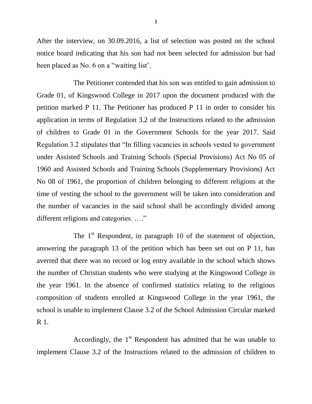After the interview, on 30.09.2016, a list of selection was posted on the school notice board indicating that his son had not been selected for admission but had been placed as No. 6 on a ''waiting list'.

The Petitioner contended that his son was entitled to gain admission to Grade 01, of Kingswood College in 2017 upon the document produced with the petition marked P 11. The Petitioner has produced P 11 in order to consider his application in terms of Regulation 3.2 of the Instructions related to the admission of children to Grade 01 in the Government Schools for the year 2017. Said Regulation 3.2 stipulates that "In filling vacancies in schools vested to government under Assisted Schools and Training Schools (Special Provisions) Act No 05 of 1960 and Assisted Schools and Training Schools (Supplementary Provisions) Act No 08 of 1961, the proportion of children belonging to different religions at the time of vesting the school to the government will be taken into consideration and the number of vacancies in the said school shall be accordingly divided among different religions and categories. …."

The 1<sup>st</sup> Respondent, in paragraph 10 of the statement of objection, answering the paragraph 13 of the petition which has been set out on P 11, has averred that there was no record or log entry available in the school which shows the number of Christian students who were studying at the Kingswood College in the year 1961. In the absence of confirmed statistics relating to the religious composition of students enrolled at Kingswood College in the year 1961, the school is unable to implement Clause 3.2 of the School Admission Circular marked R 1.

Accordingly, the  $1<sup>st</sup>$  Respondent has admitted that he was unable to implement Clause 3.2 of the Instructions related to the admission of children to